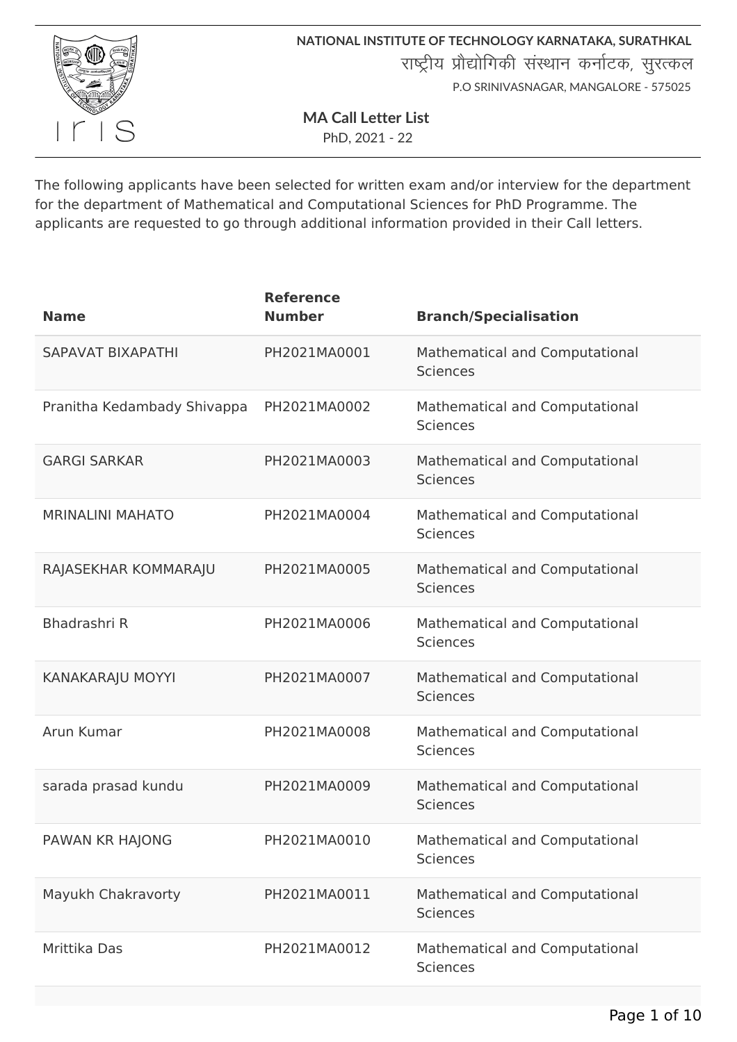

**MA Call Letter List**

PhD, 2021 - 22

The following applicants have been selected for written exam and/or interview for the department for the department of Mathematical and Computational Sciences for PhD Programme. The applicants are requested to go through additional information provided in their Call letters.

| <b>Name</b>                 | <b>Reference</b><br><b>Number</b> | <b>Branch/Specialisation</b>                      |
|-----------------------------|-----------------------------------|---------------------------------------------------|
| SAPAVAT BIXAPATHI           | PH2021MA0001                      | Mathematical and Computational<br><b>Sciences</b> |
| Pranitha Kedambady Shivappa | PH2021MA0002                      | Mathematical and Computational<br><b>Sciences</b> |
| <b>GARGI SARKAR</b>         | PH2021MA0003                      | Mathematical and Computational<br><b>Sciences</b> |
| <b>MRINALINI MAHATO</b>     | PH2021MA0004                      | Mathematical and Computational<br><b>Sciences</b> |
| RAJASEKHAR KOMMARAJU        | PH2021MA0005                      | Mathematical and Computational<br><b>Sciences</b> |
| Bhadrashri R                | PH2021MA0006                      | Mathematical and Computational<br><b>Sciences</b> |
| KANAKARAJU MOYYI            | PH2021MA0007                      | Mathematical and Computational<br><b>Sciences</b> |
| Arun Kumar                  | PH2021MA0008                      | Mathematical and Computational<br><b>Sciences</b> |
| sarada prasad kundu         | PH2021MA0009                      | Mathematical and Computational<br><b>Sciences</b> |
| PAWAN KR HAJONG             | PH2021MA0010                      | Mathematical and Computational<br><b>Sciences</b> |
| Mayukh Chakravorty          | PH2021MA0011                      | Mathematical and Computational<br><b>Sciences</b> |
| Mrittika Das                | PH2021MA0012                      | Mathematical and Computational<br><b>Sciences</b> |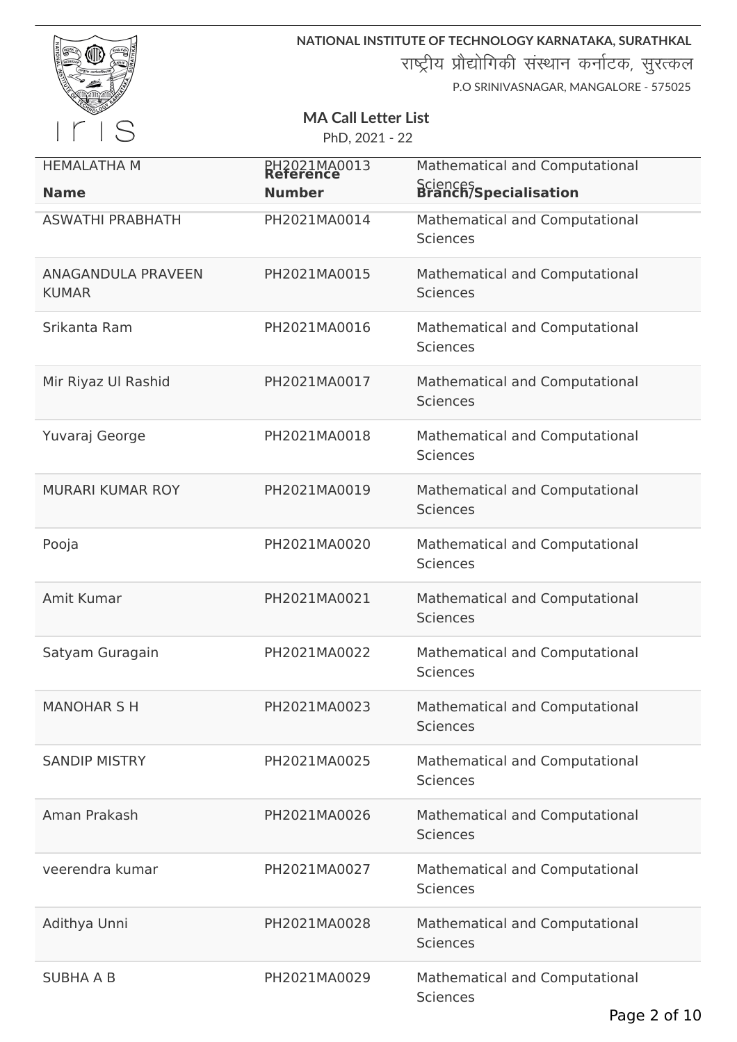|                                           |                            | NATIONAL INSTITUTE OF TECHNOLOGY KARNATAKA, SURATHKAL                                    |
|-------------------------------------------|----------------------------|------------------------------------------------------------------------------------------|
|                                           |                            | राष्ट्रीय प्रौद्योगिकी संस्थान कर्नाटक, सुरत्कल<br>P.O SRINIVASNAGAR, MANGALORE - 575025 |
|                                           | <b>MA Call Letter List</b> |                                                                                          |
| S                                         | PhD, 2021 - 22             |                                                                                          |
| <b>HEMALATHA M</b>                        | PH2021MA0013<br>Reference  | Mathematical and Computational                                                           |
| <b>Name</b>                               | <b>Number</b>              | Sciences<br>Branch/Specialisation                                                        |
| <b>ASWATHI PRABHATH</b>                   | PH2021MA0014               | Mathematical and Computational<br><b>Sciences</b>                                        |
| <b>ANAGANDULA PRAVEEN</b><br><b>KUMAR</b> | PH2021MA0015               | Mathematical and Computational<br><b>Sciences</b>                                        |
| Srikanta Ram                              | PH2021MA0016               | Mathematical and Computational<br><b>Sciences</b>                                        |
| Mir Riyaz Ul Rashid                       | PH2021MA0017               | Mathematical and Computational<br><b>Sciences</b>                                        |
| Yuvaraj George                            | PH2021MA0018               | Mathematical and Computational<br><b>Sciences</b>                                        |
| <b>MURARI KUMAR ROY</b>                   | PH2021MA0019               | Mathematical and Computational<br><b>Sciences</b>                                        |
| Pooja                                     | PH2021MA0020               | Mathematical and Computational<br><b>Sciences</b>                                        |
| Amit Kumar                                | PH2021MA0021               | Mathematical and Computational<br><b>Sciences</b>                                        |
| Satyam Guragain                           | PH2021MA0022               | Mathematical and Computational<br><b>Sciences</b>                                        |
| <b>MANOHAR S H</b>                        | PH2021MA0023               | Mathematical and Computational<br><b>Sciences</b>                                        |
| <b>SANDIP MISTRY</b>                      | PH2021MA0025               | Mathematical and Computational<br><b>Sciences</b>                                        |
| Aman Prakash                              | PH2021MA0026               | Mathematical and Computational<br><b>Sciences</b>                                        |
| veerendra kumar                           | PH2021MA0027               | Mathematical and Computational<br><b>Sciences</b>                                        |
| Adithya Unni                              | PH2021MA0028               | Mathematical and Computational<br><b>Sciences</b>                                        |
| <b>SUBHA A B</b>                          | PH2021MA0029               | Mathematical and Computational<br><b>Sciences</b><br>Page 2 of 10                        |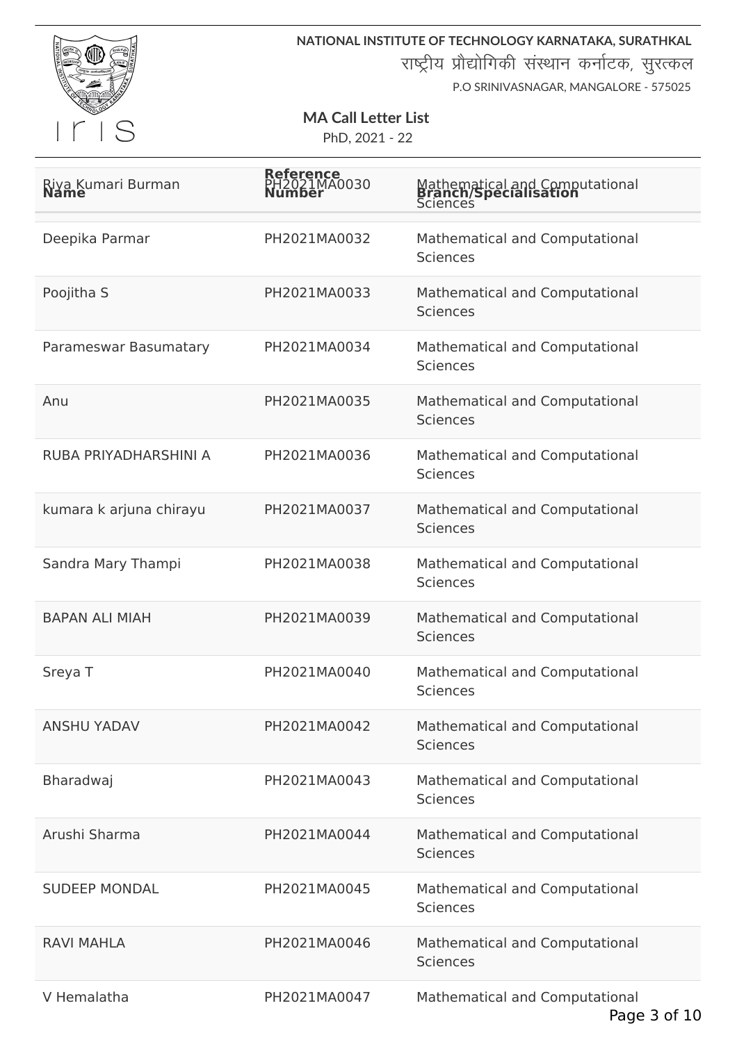

**NATIONAL INSTITUTE OF TECHNOLOGY KARNATAKA, SURATHKAL** राष्ट्रीय प्रौद्योगिकी संस्थान कर्नाटक, सुरत्कल

P.O SRINIVASNAGAR, MANGALORE - 575025

## **MA Call Letter List**

| Riya Kumari Burman<br>Name | <b>Reference</b><br>IA0030 | Mathematical and Computational<br><b>Branch/Specialisation</b><br>Sciences |
|----------------------------|----------------------------|----------------------------------------------------------------------------|
| Deepika Parmar             | PH2021MA0032               | Mathematical and Computational<br><b>Sciences</b>                          |
| Poojitha S                 | PH2021MA0033               | Mathematical and Computational<br><b>Sciences</b>                          |
| Parameswar Basumatary      | PH2021MA0034               | Mathematical and Computational<br><b>Sciences</b>                          |
| Anu                        | PH2021MA0035               | Mathematical and Computational<br><b>Sciences</b>                          |
| RUBA PRIYADHARSHINI A      | PH2021MA0036               | Mathematical and Computational<br><b>Sciences</b>                          |
| kumara k arjuna chirayu    | PH2021MA0037               | Mathematical and Computational<br><b>Sciences</b>                          |
| Sandra Mary Thampi         | PH2021MA0038               | Mathematical and Computational<br><b>Sciences</b>                          |
| <b>BAPAN ALI MIAH</b>      | PH2021MA0039               | Mathematical and Computational<br><b>Sciences</b>                          |
| Sreya T                    | PH2021MA0040               | Mathematical and Computational<br><b>Sciences</b>                          |
| <b>ANSHU YADAV</b>         | PH2021MA0042               | Mathematical and Computational<br><b>Sciences</b>                          |
| Bharadwaj                  | PH2021MA0043               | Mathematical and Computational<br><b>Sciences</b>                          |
| Arushi Sharma              | PH2021MA0044               | Mathematical and Computational<br><b>Sciences</b>                          |
| <b>SUDEEP MONDAL</b>       | PH2021MA0045               | Mathematical and Computational<br>Sciences                                 |
| <b>RAVI MAHLA</b>          | PH2021MA0046               | Mathematical and Computational<br><b>Sciences</b>                          |
| V Hemalatha                | PH2021MA0047               | Mathematical and Computational                                             |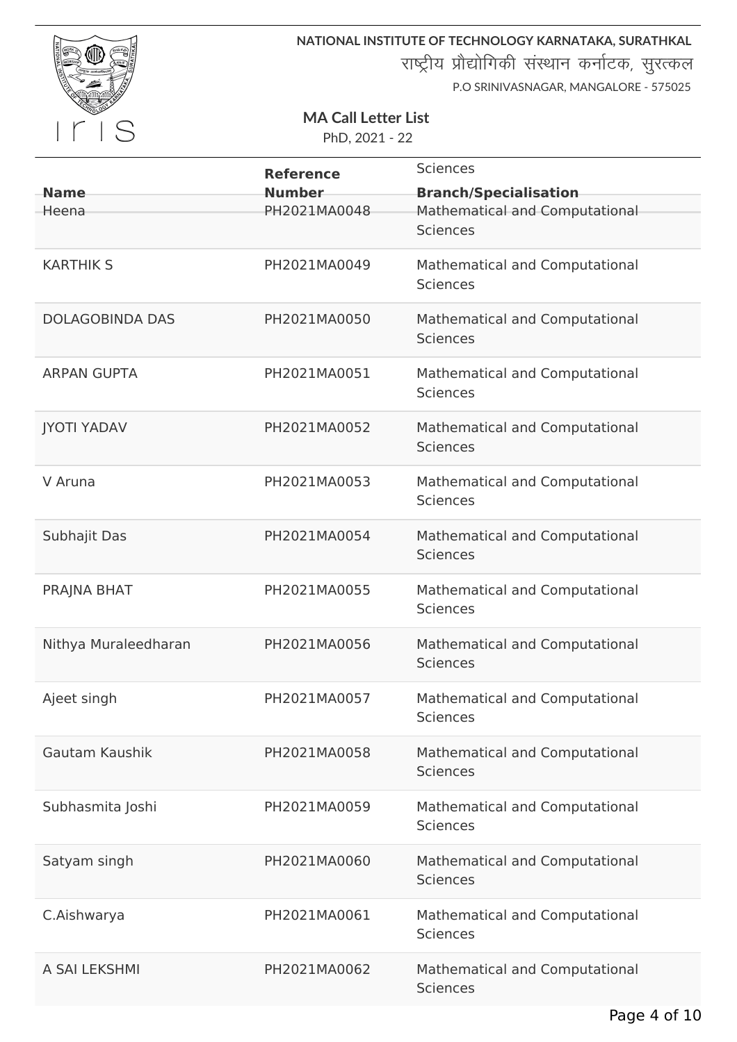

राष्ट्रीय प्रौद्योगिकी संस्थान कर्नाटक, सुरत्कल

P.O SRINIVASNAGAR, MANGALORE - 575025

#### **MA Call Letter List**

|                        | <b>Reference</b> | <b>Sciences</b>                                   |
|------------------------|------------------|---------------------------------------------------|
| <b>Name</b>            | <b>Number</b>    | <b>Branch/Specialisation</b>                      |
| Heena                  | PH2021MA0048     | Mathematical and Computational<br><b>Sciences</b> |
| <b>KARTHIK S</b>       | PH2021MA0049     | Mathematical and Computational<br><b>Sciences</b> |
| <b>DOLAGOBINDA DAS</b> | PH2021MA0050     | Mathematical and Computational<br><b>Sciences</b> |
| <b>ARPAN GUPTA</b>     | PH2021MA0051     | Mathematical and Computational<br><b>Sciences</b> |
| <b>JYOTI YADAV</b>     | PH2021MA0052     | Mathematical and Computational<br><b>Sciences</b> |
| V Aruna                | PH2021MA0053     | Mathematical and Computational<br><b>Sciences</b> |
| Subhajit Das           | PH2021MA0054     | Mathematical and Computational<br><b>Sciences</b> |
| PRAJNA BHAT            | PH2021MA0055     | Mathematical and Computational<br><b>Sciences</b> |
| Nithya Muraleedharan   | PH2021MA0056     | Mathematical and Computational<br><b>Sciences</b> |
| Ajeet singh            | PH2021MA0057     | Mathematical and Computational<br>Sciences        |
| Gautam Kaushik         | PH2021MA0058     | Mathematical and Computational<br><b>Sciences</b> |
| Subhasmita Joshi       | PH2021MA0059     | Mathematical and Computational<br><b>Sciences</b> |
| Satyam singh           | PH2021MA0060     | Mathematical and Computational<br><b>Sciences</b> |
| C.Aishwarya            | PH2021MA0061     | Mathematical and Computational<br><b>Sciences</b> |
| A SAI LEKSHMI          | PH2021MA0062     | Mathematical and Computational<br><b>Sciences</b> |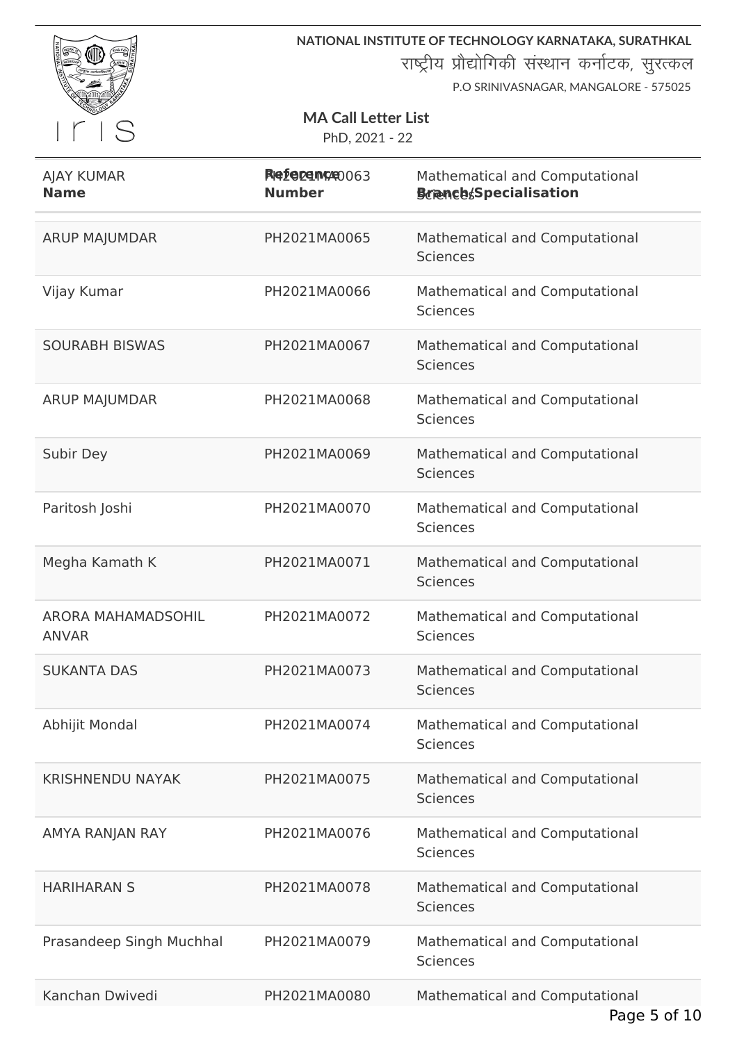

राष्ट्रीय प्रौद्योगिकी संस्थान कर्नाटक, सुरत्कल

P.O SRINIVASNAGAR, MANGALORE - 575025

#### **MA Call Letter List**

| <b>AJAY KUMAR</b><br><b>Name</b>          | RIGE DE MORO 063<br><b>Number</b> | Mathematical and Computational<br><b>Branch</b> Specialisation |
|-------------------------------------------|-----------------------------------|----------------------------------------------------------------|
| <b>ARUP MAJUMDAR</b>                      | PH2021MA0065                      | Mathematical and Computational<br><b>Sciences</b>              |
| Vijay Kumar                               | PH2021MA0066                      | Mathematical and Computational<br><b>Sciences</b>              |
| <b>SOURABH BISWAS</b>                     | PH2021MA0067                      | Mathematical and Computational<br><b>Sciences</b>              |
| <b>ARUP MAJUMDAR</b>                      | PH2021MA0068                      | Mathematical and Computational<br>Sciences                     |
| Subir Dey                                 | PH2021MA0069                      | Mathematical and Computational<br><b>Sciences</b>              |
| Paritosh Joshi                            | PH2021MA0070                      | Mathematical and Computational<br><b>Sciences</b>              |
| Megha Kamath K                            | PH2021MA0071                      | Mathematical and Computational<br><b>Sciences</b>              |
| <b>ARORA MAHAMADSOHIL</b><br><b>ANVAR</b> | PH2021MA0072                      | Mathematical and Computational<br><b>Sciences</b>              |
| <b>SUKANTA DAS</b>                        | PH2021MA0073                      | Mathematical and Computational<br><b>Sciences</b>              |
| Abhijit Mondal                            | PH2021MA0074                      | Mathematical and Computational<br><b>Sciences</b>              |
| <b>KRISHNENDU NAYAK</b>                   | PH2021MA0075                      | Mathematical and Computational<br><b>Sciences</b>              |
| AMYA RANJAN RAY                           | PH2021MA0076                      | Mathematical and Computational<br><b>Sciences</b>              |
| <b>HARIHARAN S</b>                        | PH2021MA0078                      | Mathematical and Computational<br><b>Sciences</b>              |
| Prasandeep Singh Muchhal                  | PH2021MA0079                      | Mathematical and Computational<br><b>Sciences</b>              |
| Kanchan Dwivedi                           | PH2021MA0080                      | Mathematical and Computational                                 |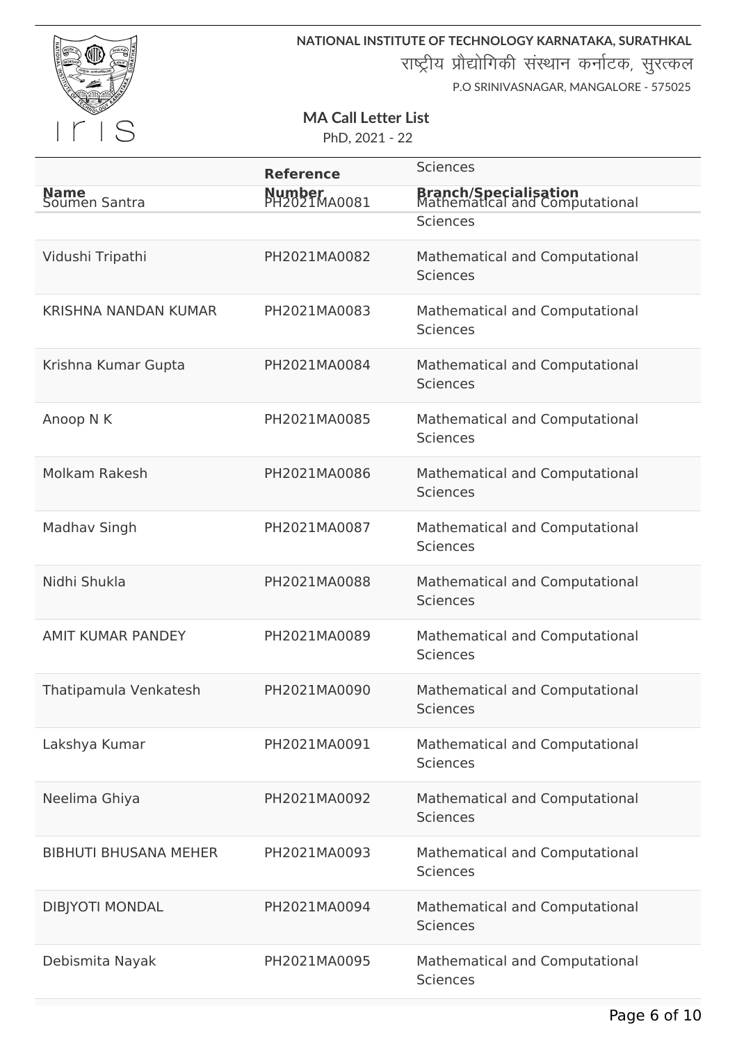

राष्ट्रीय प्रौद्योगिकी संस्थान कर्नाटक, सुरत्कल

P.O SRINIVASNAGAR, MANGALORE - 575025

#### **MA Call Letter List**

|                              | <b>Reference</b>       | <b>Sciences</b>                                                |
|------------------------------|------------------------|----------------------------------------------------------------|
| Name<br>Soumen Santra        | Number<br>PH2021MA0081 | <b>Branch/Specialisation</b><br>Mathematical and Computational |
|                              |                        | <b>Sciences</b>                                                |
| Vidushi Tripathi             | PH2021MA0082           | Mathematical and Computational                                 |
|                              |                        | <b>Sciences</b>                                                |
| <b>KRISHNA NANDAN KUMAR</b>  | PH2021MA0083           | Mathematical and Computational<br><b>Sciences</b>              |
| Krishna Kumar Gupta          | PH2021MA0084           | Mathematical and Computational<br><b>Sciences</b>              |
| Anoop N K                    | PH2021MA0085           | Mathematical and Computational<br>Sciences                     |
| Molkam Rakesh                | PH2021MA0086           | Mathematical and Computational<br><b>Sciences</b>              |
| Madhav Singh                 | PH2021MA0087           | Mathematical and Computational<br><b>Sciences</b>              |
| Nidhi Shukla                 | PH2021MA0088           | Mathematical and Computational<br><b>Sciences</b>              |
| <b>AMIT KUMAR PANDEY</b>     | PH2021MA0089           | Mathematical and Computational<br><b>Sciences</b>              |
| Thatipamula Venkatesh        | PH2021MA0090           | Mathematical and Computational<br><b>Sciences</b>              |
| Lakshya Kumar                | PH2021MA0091           | Mathematical and Computational<br><b>Sciences</b>              |
| Neelima Ghiya                | PH2021MA0092           | Mathematical and Computational<br><b>Sciences</b>              |
| <b>BIBHUTI BHUSANA MEHER</b> | PH2021MA0093           | Mathematical and Computational<br>Sciences                     |
| <b>DIBJYOTI MONDAL</b>       | PH2021MA0094           | Mathematical and Computational<br><b>Sciences</b>              |
| Debismita Nayak              | PH2021MA0095           | Mathematical and Computational<br><b>Sciences</b>              |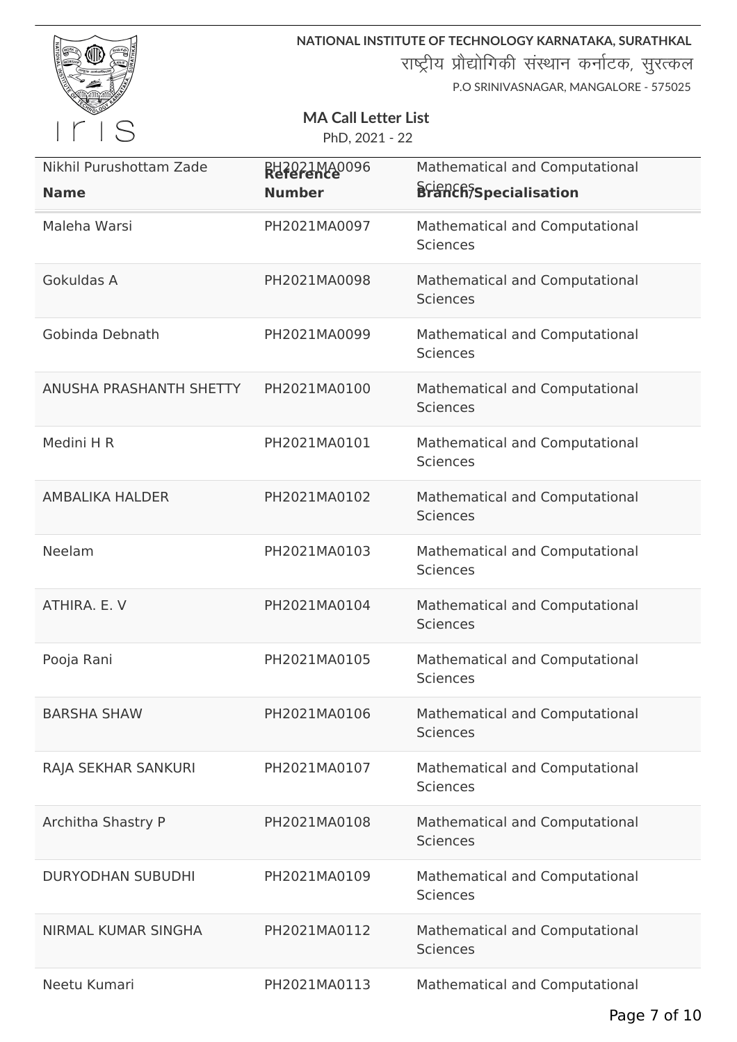

राष्ट्रीय प्रौद्योगिकी संस्थान कर्नाटक, सुरत्कल

P.O SRINIVASNAGAR, MANGALORE - 575025

#### **MA Call Letter List**

| Nikhil Purushottam Zade<br><b>Name</b> | <b>RH2021MA0096</b><br><b>Number</b> | Mathematical and Computational<br><b>Sciench<sup>S</sup>specialisation</b> |
|----------------------------------------|--------------------------------------|----------------------------------------------------------------------------|
| Maleha Warsi                           | PH2021MA0097                         | Mathematical and Computational<br><b>Sciences</b>                          |
| Gokuldas A                             | PH2021MA0098                         | Mathematical and Computational<br><b>Sciences</b>                          |
| Gobinda Debnath                        | PH2021MA0099                         | Mathematical and Computational<br><b>Sciences</b>                          |
| ANUSHA PRASHANTH SHETTY                | PH2021MA0100                         | Mathematical and Computational<br><b>Sciences</b>                          |
| Medini H R                             | PH2021MA0101                         | Mathematical and Computational<br><b>Sciences</b>                          |
| <b>AMBALIKA HALDER</b>                 | PH2021MA0102                         | Mathematical and Computational<br><b>Sciences</b>                          |
| Neelam                                 | PH2021MA0103                         | Mathematical and Computational<br><b>Sciences</b>                          |
| ATHIRA. E. V                           | PH2021MA0104                         | Mathematical and Computational<br><b>Sciences</b>                          |
| Pooja Rani                             | PH2021MA0105                         | Mathematical and Computational<br><b>Sciences</b>                          |
| <b>BARSHA SHAW</b>                     | PH2021MA0106                         | Mathematical and Computational<br><b>Sciences</b>                          |
| RAJA SEKHAR SANKURI                    | PH2021MA0107                         | Mathematical and Computational<br><b>Sciences</b>                          |
| Architha Shastry P                     | PH2021MA0108                         | Mathematical and Computational<br><b>Sciences</b>                          |
| <b>DURYODHAN SUBUDHI</b>               | PH2021MA0109                         | Mathematical and Computational<br><b>Sciences</b>                          |
| NIRMAL KUMAR SINGHA                    | PH2021MA0112                         | Mathematical and Computational<br><b>Sciences</b>                          |
| Neetu Kumari                           | PH2021MA0113                         | Mathematical and Computational                                             |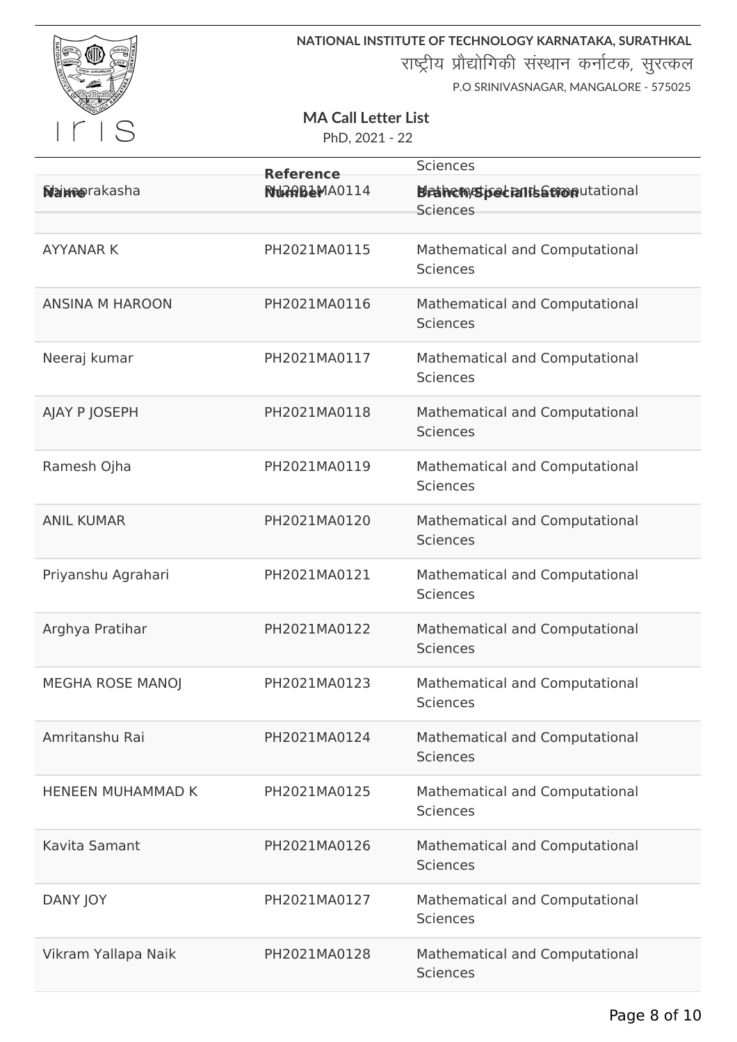

राष्ट्रीय प्रौद्योगिकी संस्थान कर्नाटक, सुरत्कल

P.O SRINIVASNAGAR, MANGALORE - 575025

#### **MA Call Letter List**

|                          | <b>Reference</b>   | <b>Sciences</b>                                                   |
|--------------------------|--------------------|-------------------------------------------------------------------|
| <b>Name</b> rakasha      | <b>NUMBEMA0114</b> | <b>Bleahem/stige traits a trion</b> putational<br><b>Sciences</b> |
| <b>AYYANAR K</b>         | PH2021MA0115       | Mathematical and Computational<br><b>Sciences</b>                 |
| <b>ANSINA M HAROON</b>   | PH2021MA0116       | Mathematical and Computational<br><b>Sciences</b>                 |
| Neeraj kumar             | PH2021MA0117       | Mathematical and Computational<br><b>Sciences</b>                 |
| AJAY P JOSEPH            | PH2021MA0118       | Mathematical and Computational<br><b>Sciences</b>                 |
| Ramesh Ojha              | PH2021MA0119       | Mathematical and Computational<br>Sciences                        |
| <b>ANIL KUMAR</b>        | PH2021MA0120       | Mathematical and Computational<br><b>Sciences</b>                 |
| Priyanshu Agrahari       | PH2021MA0121       | Mathematical and Computational<br><b>Sciences</b>                 |
| Arghya Pratihar          | PH2021MA0122       | Mathematical and Computational<br><b>Sciences</b>                 |
| MEGHA ROSE MANOJ         | PH2021MA0123       | Mathematical and Computational<br><b>Sciences</b>                 |
| Amritanshu Rai           | PH2021MA0124       | Mathematical and Computational<br><b>Sciences</b>                 |
| <b>HENEEN MUHAMMAD K</b> | PH2021MA0125       | Mathematical and Computational<br><b>Sciences</b>                 |
| Kavita Samant            | PH2021MA0126       | Mathematical and Computational<br><b>Sciences</b>                 |
| DANY JOY                 | PH2021MA0127       | Mathematical and Computational<br><b>Sciences</b>                 |
| Vikram Yallapa Naik      | PH2021MA0128       | Mathematical and Computational<br><b>Sciences</b>                 |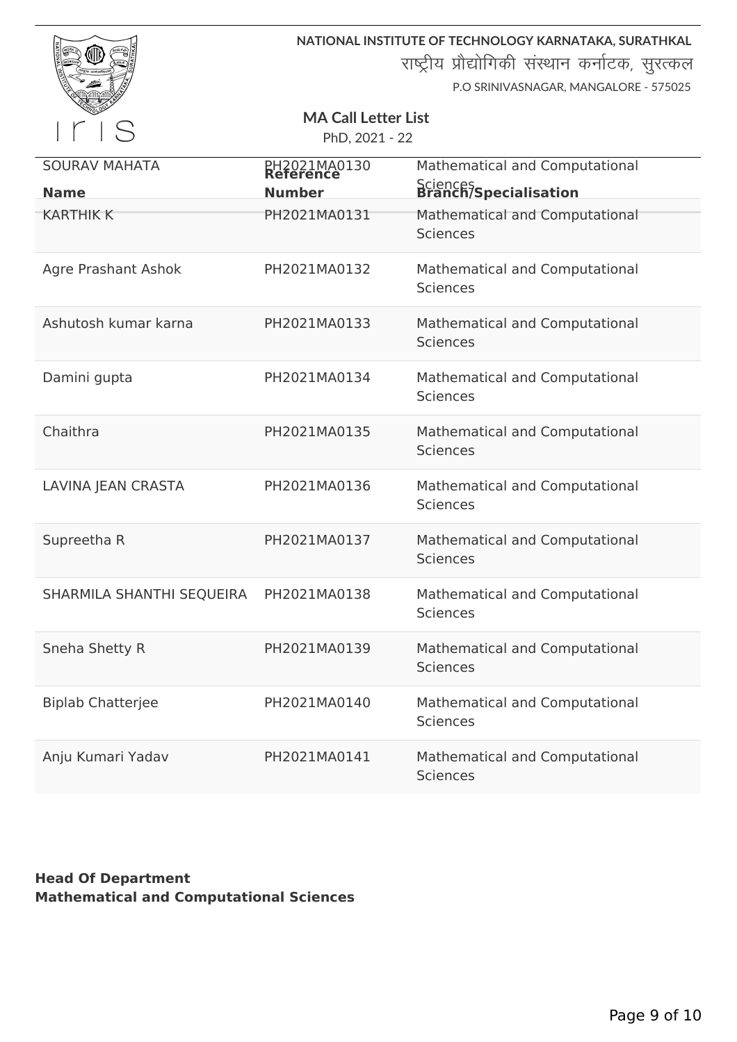|                                     |                                              | NATIONAL INSTITUTE OF TECHNOLOGY KARNATAKA, SURATHKAL<br>राष्ट्रीय प्रौद्योगिकी संस्थान कर्नाटक, सुरत्कल<br>P.O SRINIVASNAGAR, MANGALORE - 575025 |
|-------------------------------------|----------------------------------------------|---------------------------------------------------------------------------------------------------------------------------------------------------|
|                                     | <b>MA Call Letter List</b><br>PhD, 2021 - 22 |                                                                                                                                                   |
| <b>SOURAV MAHATA</b><br><b>Name</b> | PH2021MA0130<br>Reference<br><b>Number</b>   | Mathematical and Computational<br>Sciences<br><b>Branch/Specialisation</b>                                                                        |
| <b>KARTHIK K</b>                    | PH2021MA0131                                 | Mathematical and Computational<br><b>Sciences</b>                                                                                                 |
| <b>Agre Prashant Ashok</b>          | PH2021MA0132                                 | Mathematical and Computational<br><b>Sciences</b>                                                                                                 |
| Ashutosh kumar karna                | PH2021MA0133                                 | Mathematical and Computational<br><b>Sciences</b>                                                                                                 |
| Damini gupta                        | PH2021MA0134                                 | Mathematical and Computational<br><b>Sciences</b>                                                                                                 |
| Chaithra                            | PH2021MA0135                                 | Mathematical and Computational<br><b>Sciences</b>                                                                                                 |
| LAVINA JEAN CRASTA                  | PH2021MA0136                                 | Mathematical and Computational<br><b>Sciences</b>                                                                                                 |
| Supreetha R                         | PH2021MA0137                                 | Mathematical and Computational<br><b>Sciences</b>                                                                                                 |
| SHARMILA SHANTHI SEQUEIRA           | PH2021MA0138                                 | Mathematical and Computational<br><b>Sciences</b>                                                                                                 |
| Sneha Shetty R                      | PH2021MA0139                                 | Mathematical and Computational<br><b>Sciences</b>                                                                                                 |
| <b>Biplab Chatterjee</b>            | PH2021MA0140                                 | Mathematical and Computational<br><b>Sciences</b>                                                                                                 |
| Anju Kumari Yadav                   | PH2021MA0141                                 | Mathematical and Computational<br><b>Sciences</b>                                                                                                 |

## **Head Of Department Mathematical and Computational Sciences**